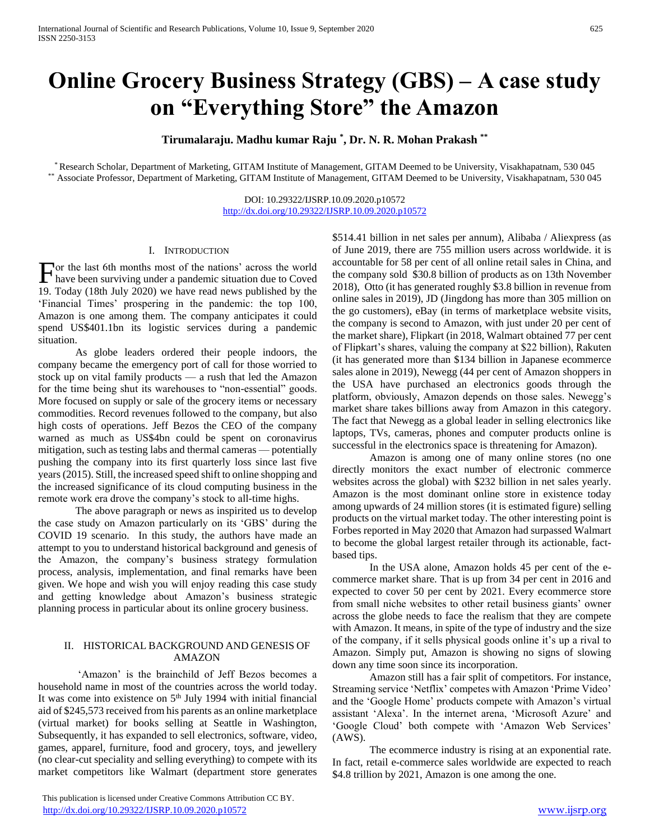# **Online Grocery Business Strategy (GBS) – A case study on "Everything Store" the Amazon**

**Tirumalaraju. Madhu kumar Raju \* , Dr. N. R. Mohan Prakash \*\***

\* Research Scholar, Department of Marketing, GITAM Institute of Management, GITAM Deemed to be University, Visakhapatnam, 530 045 \*\* Associate Professor, Department of Marketing, GITAM Institute of Management, GITAM Deemed to be University, Visakhapatnam, 530 045

> DOI: 10.29322/IJSRP.10.09.2020.p10572 <http://dx.doi.org/10.29322/IJSRP.10.09.2020.p10572>

### I. INTRODUCTION

or the last 6th months most of the nations' across the world For the last 6th months most of the nations' across the world<br>have been surviving under a pandemic situation due to Coved 19. Today (18th July 2020) we have read news published by the 'Financial Times' prospering in the pandemic: the top 100, Amazon is one among them. The company anticipates it could spend US\$401.1bn its logistic services during a pandemic situation.

 As globe leaders ordered their people indoors, the company became the emergency port of call for those worried to stock up on vital family products — a rush that led the Amazon for the time being shut its warehouses to "non-essential" goods. More focused on supply or sale of the grocery items or necessary commodities. Record revenues followed to the company, but also high costs of operations. Jeff Bezos the CEO of the company warned as much as US\$4bn could be spent on coronavirus mitigation, such as testing labs and thermal cameras — potentially pushing the company into its first quarterly loss since last five years (2015). Still, the increased speed shift to online shopping and the increased significance of its cloud computing business in the remote work era drove the company's stock to all-time highs.

 The above paragraph or news as inspirited us to develop the case study on Amazon particularly on its 'GBS' during the COVID 19 scenario. In this study, the authors have made an attempt to you to understand historical background and genesis of the Amazon, the company's business strategy formulation process, analysis, implementation, and final remarks have been given. We hope and wish you will enjoy reading this case study and getting knowledge about Amazon's business strategic planning process in particular about its online grocery business.

## II. HISTORICAL BACKGROUND AND GENESIS OF AMAZON

 'Amazon' is the brainchild of Jeff Bezos becomes a household name in most of the countries across the world today. It was come into existence on  $5<sup>th</sup>$  July 1994 with initial financial aid of \$245,573 received from his parents as an online marketplace (virtual market) for books selling at Seattle in Washington, Subsequently, it has expanded to sell electronics, software, video, games, apparel, furniture, food and grocery, toys, and jewellery (no clear-cut speciality and selling everything) to compete with its market competitors like Walmart (department store generates

 This publication is licensed under Creative Commons Attribution CC BY. <http://dx.doi.org/10.29322/IJSRP.10.09.2020.p10572> [www.ijsrp.org](http://ijsrp.org/)

\$514.41 billion in net sales per annum), Alibaba / Aliexpress (as of June 2019, there are 755 million users across worldwide. it is accountable for 58 per cent of all online retail sales in China, and the company sold \$30.8 billion of products as on 13th November 2018), Otto (it has generated roughly \$3.8 billion in revenue from online sales in 2019), JD (Jingdong has more than 305 million on the go customers), eBay (in terms of marketplace website visits, the company is second to Amazon, with just under 20 per cent of the market share), Flipkart (in 2018, Walmart obtained 77 per cent of Flipkart's shares, valuing the company at \$22 billion), Rakuten (it has generated more than \$134 billion in Japanese ecommerce sales alone in 2019), Newegg (44 per cent of Amazon shoppers in the USA have purchased an electronics goods through the platform, obviously, Amazon depends on those sales. Newegg's market share takes billions away from Amazon in this category. The fact that Newegg as a global leader in selling electronics like laptops, TVs, cameras, phones and computer products online is successful in the electronics space is threatening for Amazon).

 Amazon is among one of many online stores (no one directly monitors the exact number of electronic commerce websites across the global) with \$232 billion in net sales yearly. Amazon is the most dominant online store in existence today among upwards of 24 million stores (it is estimated figure) selling products on the virtual market today. The other interesting point is Forbes reported in May 2020 that Amazon had surpassed Walmart to become the global largest retailer through its actionable, factbased tips.

 In the USA alone, Amazon holds 45 per cent of the ecommerce market share. That is up from 34 per cent in 2016 and expected to cover 50 per cent by 2021. Every ecommerce store from small niche websites to other retail business giants' owner across the globe needs to face the realism that they are compete with Amazon. It means, in spite of the type of industry and the size of the company, if it sells physical goods online it's up a rival to Amazon. Simply put, Amazon is showing no signs of slowing down any time soon since its incorporation.

 Amazon still has a fair split of competitors. For instance, Streaming service 'Netflix' competes with Amazon 'Prime Video' and the 'Google Home' products compete with Amazon's virtual assistant 'Alexa'. In the internet arena, 'Microsoft Azure' and 'Google Cloud' both compete with 'Amazon Web Services' (AWS).

 The ecommerce industry is rising at an exponential rate. In fact, retail e-commerce sales worldwide are expected to reach \$4.8 trillion by 2021, Amazon is one among the one.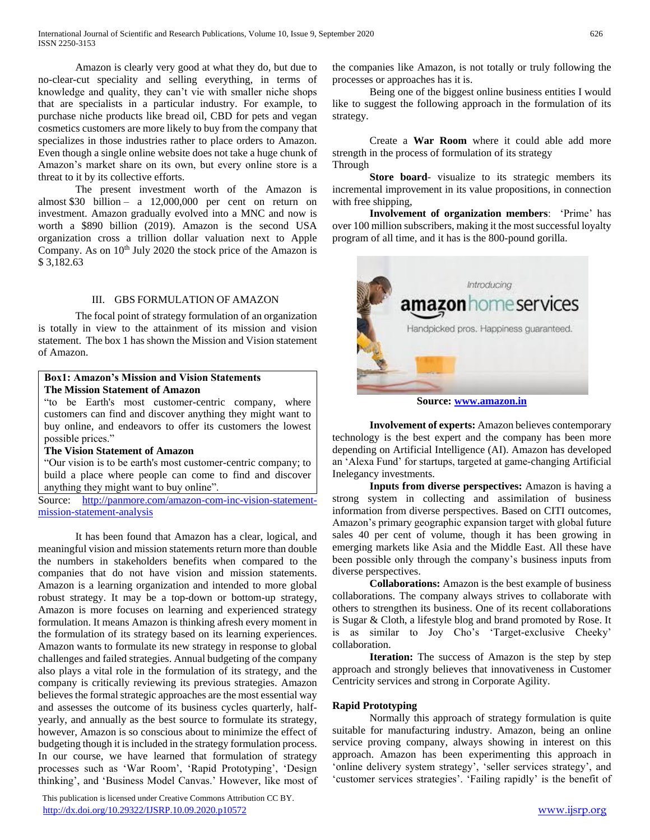Amazon is clearly very good at what they do, but due to no-clear-cut speciality and selling everything, in terms of knowledge and quality, they can't vie with smaller niche shops that are specialists in a particular industry. For example, to purchase niche products like bread oil, CBD for pets and vegan cosmetics customers are more likely to buy from the company that specializes in those industries rather to place orders to Amazon. Even though a single online website does not take a huge chunk of Amazon's market share on its own, but every online store is a threat to it by its collective efforts.

 The present investment worth of the Amazon is almost \$30 billion – a  $12,000,000$  per cent on return on investment. Amazon gradually evolved into a MNC and now is worth a \$890 billion (2019). Amazon is the second USA organization cross a trillion dollar valuation next to Apple Company. As on 10<sup>th</sup> July 2020 the stock price of the Amazon is \$ 3,182.63

## III. GBS FORMULATION OF AMAZON

 The focal point of strategy formulation of an organization is totally in view to the attainment of its mission and vision statement. The box 1 has shown the Mission and Vision statement of Amazon.

## **Box1: Amazon's Mission and Vision Statements The Mission Statement of Amazon**

"to be Earth's most customer-centric company, where customers can find and discover anything they might want to buy online, and endeavors to offer its customers the lowest possible prices."

## **The Vision Statement of Amazon**

"Our vision is to be earth's most customer-centric company; to build a place where people can come to find and discover anything they might want to buy online".

Source: [http://panmore.com/amazon-com-inc-vision-statement](http://panmore.com/amazon-com-inc-vision-statement-mission-statement-analysis)[mission-statement-analysis](http://panmore.com/amazon-com-inc-vision-statement-mission-statement-analysis)

 It has been found that Amazon has a clear, logical, and meaningful vision and mission statements return more than double the numbers in stakeholders benefits when compared to the companies that do not have vision and mission statements. Amazon is a learning organization and intended to more global robust strategy. It may be a top-down or bottom-up strategy, Amazon is more focuses on learning and experienced strategy formulation. It means Amazon is thinking afresh every moment in the formulation of its strategy based on its learning experiences. Amazon wants to formulate its new strategy in response to global challenges and failed strategies. Annual budgeting of the company also plays a vital role in the formulation of its strategy, and the company is critically reviewing its previous strategies. Amazon believes the formal strategic approaches are the most essential way and assesses the outcome of its business cycles quarterly, halfyearly, and annually as the best source to formulate its strategy, however, Amazon is so conscious about to minimize the effect of budgeting though it is included in the strategy formulation process. In our course, we have learned that formulation of strategy processes such as 'War Room', 'Rapid Prototyping', 'Design thinking', and 'Business Model Canvas.' However, like most of

 This publication is licensed under Creative Commons Attribution CC BY. <http://dx.doi.org/10.29322/IJSRP.10.09.2020.p10572> [www.ijsrp.org](http://ijsrp.org/)

the companies like Amazon, is not totally or truly following the processes or approaches has it is.

 Being one of the biggest online business entities I would like to suggest the following approach in the formulation of its strategy.

 Create a **War Room** where it could able add more strength in the process of formulation of its strategy Through

 **Store board**- visualize to its strategic members its incremental improvement in its value propositions, in connection with free shipping,

 **Involvement of organization members**: 'Prime' has over 100 million subscribers, making it the most successful loyalty program of all time, and it has is the 800-pound gorilla.



**Source: [www.amazon.in](http://www.amazon.in/)**

 **Involvement of experts:** Amazon believes contemporary technology is the best expert and the company has been more depending on Artificial Intelligence (AI). Amazon has developed an 'Alexa Fund' for startups, targeted at game-changing Artificial Inelegancy investments.

 **Inputs from diverse perspectives:** Amazon is having a strong system in collecting and assimilation of business information from diverse perspectives. Based on CITI outcomes, Amazon's primary geographic expansion target with global future sales 40 per cent of volume, though it has been growing in emerging markets like Asia and the Middle East. All these have been possible only through the company's business inputs from diverse perspectives.

 **Collaborations:** Amazon is the best example of business collaborations. The company always strives to collaborate with others to strengthen its business. One of its recent collaborations is Sugar & Cloth, a lifestyle blog and brand promoted by Rose. It is as similar to Joy Cho's 'Target-exclusive Cheeky' collaboration.

**Iteration:** The success of Amazon is the step by step approach and strongly believes that innovativeness in Customer Centricity services and strong in Corporate Agility.

## **Rapid Prototyping**

 Normally this approach of strategy formulation is quite suitable for manufacturing industry. Amazon, being an online service proving company, always showing in interest on this approach. Amazon has been experimenting this approach in 'online delivery system strategy', 'seller services strategy', and 'customer services strategies'. 'Failing rapidly' is the benefit of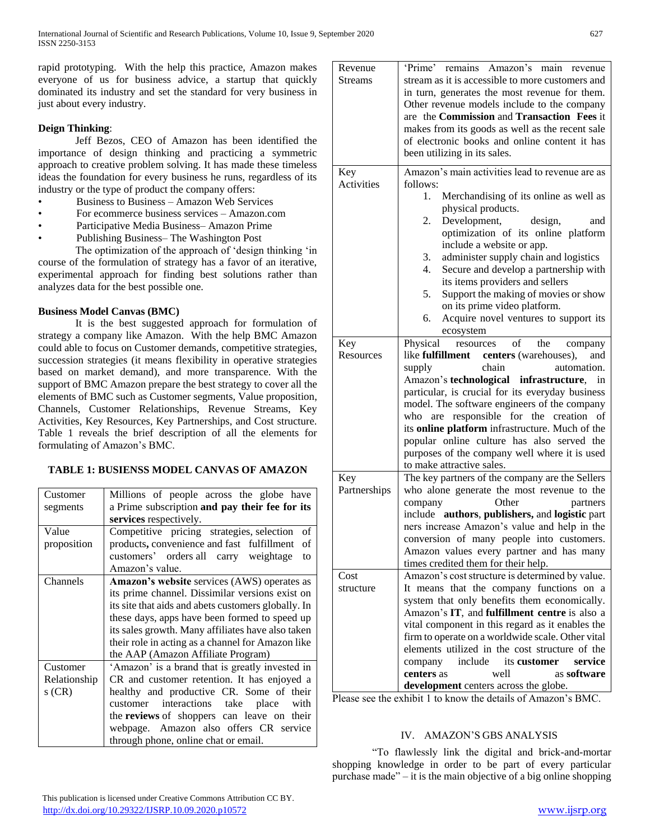rapid prototyping. With the help this practice, Amazon makes everyone of us for business advice, a startup that quickly dominated its industry and set the standard for very business in just about every industry.

# **Deign Thinking**:

 Jeff Bezos, CEO of Amazon has been identified the importance of design thinking and practicing a symmetric approach to creative problem solving. It has made these timeless ideas the foundation for every business he runs, regardless of its industry or the type of product the company offers:

- Business to Business Amazon Web Services
- For ecommerce business services Amazon.com
- Participative Media Business– Amazon Prime
- Publishing Business– The Washington Post

 The optimization of the approach of 'design thinking 'in course of the formulation of strategy has a favor of an iterative, experimental approach for finding best solutions rather than analyzes data for the best possible one.

# **Business Model Canvas (BMC)**

 It is the best suggested approach for formulation of strategy a company like Amazon. With the help BMC Amazon could able to focus on Customer demands, competitive strategies, succession strategies (it means flexibility in operative strategies based on market demand), and more transparence. With the support of BMC Amazon prepare the best strategy to cover all the elements of BMC such as Customer segments, Value proposition, Channels, Customer Relationships, Revenue Streams, Key Activities, Key Resources, Key Partnerships, and Cost structure. Table 1 reveals the brief description of all the elements for formulating of Amazon's BMC.

# **TABLE 1: BUSIENSS MODEL CANVAS OF AMAZON**

| Customer<br>segments | Millions of people across the globe have<br>a Prime subscription and pay their fee for its |
|----------------------|--------------------------------------------------------------------------------------------|
|                      | services respectively.                                                                     |
| Value                | Competitive pricing strategies, selection<br>οf                                            |
| proposition          | products, convenience and fast fulfillment<br>of                                           |
|                      | customers' orders all carry weightage<br>to                                                |
|                      | Amazon's value.                                                                            |
| Channels             | Amazon's website services (AWS) operates as                                                |
|                      | its prime channel. Dissimilar versions exist on                                            |
|                      | its site that aids and abets customers globally. In                                        |
|                      | these days, apps have been formed to speed up                                              |
|                      | its sales growth. Many affiliates have also taken                                          |
|                      | their role in acting as a channel for Amazon like                                          |
|                      | the AAP (Amazon Affiliate Program)                                                         |
| Customer             | 'Amazon' is a brand that is greatly invested in                                            |
| Relationship         | CR and customer retention. It has enjoyed a                                                |
| s (CR)               | healthy and productive CR. Some of their                                                   |
|                      | customer interactions take place<br>with                                                   |
|                      | the reviews of shoppers can leave on their                                                 |
|                      | webpage. Amazon also offers CR service                                                     |
|                      | through phone, online chat or email.                                                       |

| Revenue          | 'Prime' remains Amazon's main revenue                                                      |
|------------------|--------------------------------------------------------------------------------------------|
| <b>Streams</b>   | stream as it is accessible to more customers and                                           |
|                  | in turn, generates the most revenue for them.                                              |
|                  | Other revenue models include to the company                                                |
|                  | are the Commission and Transaction Fees it                                                 |
|                  | makes from its goods as well as the recent sale                                            |
|                  | of electronic books and online content it has                                              |
|                  | been utilizing in its sales.                                                               |
| Key              | Amazon's main activities lead to revenue are as                                            |
| Activities       | follows:                                                                                   |
|                  | 1.<br>Merchandising of its online as well as                                               |
|                  | physical products.                                                                         |
|                  | Development,<br>2.<br>design,<br>and                                                       |
|                  | optimization of its online platform                                                        |
|                  | include a website or app.                                                                  |
|                  | administer supply chain and logistics<br>3.                                                |
|                  | Secure and develop a partnership with<br>4.                                                |
|                  | its items providers and sellers                                                            |
|                  | 5.<br>Support the making of movies or show                                                 |
|                  | on its prime video platform.                                                               |
|                  | Acquire novel ventures to support its<br>6.                                                |
|                  | ecosystem                                                                                  |
| Key              | Physical<br>of<br>the<br>resources<br>company                                              |
| <b>Resources</b> | like <b>fulfillment</b> centers (warehouses),<br>and                                       |
|                  | chain<br>supply<br>automation.                                                             |
|                  | Amazon's technological infrastructure, in                                                  |
|                  | particular, is crucial for its everyday business                                           |
|                  | model. The software engineers of the company<br>- of                                       |
|                  | are responsible for the creation<br>who<br>its online platform infrastructure. Much of the |
|                  | popular online culture has also served the                                                 |
|                  | purposes of the company well where it is used                                              |
|                  | to make attractive sales.                                                                  |
| Key              | The key partners of the company are the Sellers                                            |
| Partnerships     | who alone generate the most revenue to the                                                 |
|                  | Other<br>company<br>partners                                                               |
|                  | include authors, publishers, and logistic part                                             |
|                  | ners increase Amazon's value and help in the                                               |
|                  | conversion of many people into customers.                                                  |
|                  | Amazon values every partner and has many                                                   |
|                  | times credited them for their help.                                                        |
| Cost             | Amazon's cost structure is determined by value.                                            |
| structure        | It means that the company functions on a                                                   |
|                  | system that only benefits them economically.                                               |
|                  | Amazon's IT, and fulfillment centre is also a                                              |
|                  | vital component in this regard as it enables the                                           |
|                  | firm to operate on a worldwide scale. Other vital                                          |
|                  | elements utilized in the cost structure of the                                             |
|                  | its customer<br>include<br>service<br>company                                              |
|                  | as software<br>centers as<br>well                                                          |
|                  | development centers across the globe.                                                      |

Please see the exhibit 1 to know the details of Amazon's BMC.

# IV. AMAZON'S GBS ANALYSIS

 "To flawlessly link the digital and brick-and-mortar shopping knowledge in order to be part of every particular purchase made" – it is the main objective of a big online shopping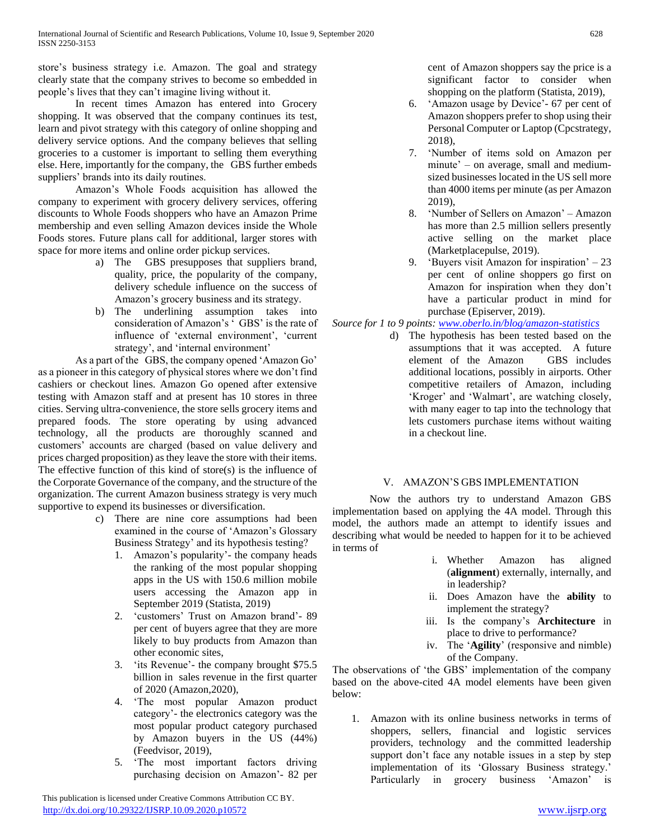store's business strategy i.e. Amazon. The goal and strategy clearly state that the company strives to become so embedded in people's lives that they can't imagine living without it.

 In recent times Amazon has entered into Grocery shopping. It was observed that the company continues its test, learn and pivot strategy with this category of online shopping and delivery service options. And the company believes that selling groceries to a customer is important to selling them everything else. Here, importantly for the company, the GBS further embeds suppliers' brands into its daily routines.

 Amazon's Whole Foods acquisition has allowed the company to experiment with grocery delivery services, offering discounts to Whole Foods shoppers who have an Amazon Prime membership and even selling Amazon devices inside the Whole Foods stores. Future plans call for additional, larger stores with space for more items and online order pickup services.

- a) The GBS presupposes that suppliers brand, quality, price, the popularity of the company, delivery schedule influence on the success of Amazon's grocery business and its strategy.
- b) The underlining assumption takes into consideration of Amazon's ' GBS' is the rate of influence of 'external environment', 'current strategy', and 'internal environment'

 As a part of the GBS, the company opened 'Amazon Go' as a pioneer in this category of physical stores where we don't find cashiers or checkout lines. Amazon Go opened after extensive testing with Amazon staff and at present has 10 stores in three cities. Serving ultra-convenience, the store sells grocery items and prepared foods. The store operating by using advanced technology, all the products are thoroughly scanned and customers' accounts are charged (based on value delivery and prices charged proposition) as they leave the store with their items. The effective function of this kind of store(s) is the influence of the Corporate Governance of the company, and the structure of the organization. The current Amazon business strategy is very much supportive to expend its businesses or diversification.

- c) There are nine core assumptions had been examined in the course of 'Amazon's Glossary Business Strategy' and its hypothesis testing?
	- 1. Amazon's popularity'- the company heads the ranking of the most popular shopping apps in the US with 150.6 million mobile users accessing the Amazon app in September 2019 (Statista, 2019)
	- 2. 'customers' Trust on Amazon brand'- 89 per cent of buyers agree that they are more likely to buy products from Amazon than other economic sites,
	- 3. 'its Revenue'- the company brought \$75.5 billion in sales revenue in the first quarter of 2020 (Amazon,2020),
	- 4. 'The most popular Amazon product category'- the electronics category was the most popular product category purchased by Amazon buyers in the US (44%) (Feedvisor, 2019),
	- 5. 'The most important factors driving purchasing decision on Amazon'- 82 per

 This publication is licensed under Creative Commons Attribution CC BY. <http://dx.doi.org/10.29322/IJSRP.10.09.2020.p10572> [www.ijsrp.org](http://ijsrp.org/)

cent of Amazon shoppers say the price is a significant factor to consider when shopping on the platform (Statista, 2019),

- 6. 'Amazon usage by Device'- 67 per cent of Amazon shoppers prefer to shop using their Personal Computer or Laptop (Cpcstrategy, 2018),
- 7. 'Number of items sold on Amazon per minute' – on average, small and mediumsized businesses located in the US sell more than 4000 items per minute (as per Amazon 2019),
- 8. 'Number of Sellers on Amazon' Amazon has more than 2.5 million sellers presently active selling on the market place (Marketplacepulse, 2019).
- 9. 'Buyers visit Amazon for inspiration' 23 per cent of online shoppers go first on Amazon for inspiration when they don't have a particular product in mind for purchase (Episerver, 2019).

*Source for 1 to 9 points: [www.oberlo.in/blog/amazon-statistics](http://www.oberlo.in/blog/amazon-statistics)*

d) The hypothesis has been tested based on the assumptions that it was accepted. A future element of the Amazon GBS includes additional locations, possibly in airports. Other competitive retailers of Amazon, including 'Kroger' and 'Walmart', are watching closely, with many eager to tap into the technology that lets customers purchase items without waiting in a checkout line.

# V. AMAZON'S GBS IMPLEMENTATION

 Now the authors try to understand Amazon GBS implementation based on applying the 4A model. Through this model, the authors made an attempt to identify issues and describing what would be needed to happen for it to be achieved in terms of

- i. Whether Amazon has aligned (**alignment**) externally, internally, and in leadership?
- ii. Does Amazon have the **ability** to implement the strategy?
- iii. Is the company's **Architecture** in place to drive to performance?
- iv. The '**Agility**' (responsive and nimble) of the Company.

The observations of 'the GBS' implementation of the company based on the above-cited 4A model elements have been given below:

1. Amazon with its online business networks in terms of shoppers, sellers, financial and logistic services providers, technology and the committed leadership support don't face any notable issues in a step by step implementation of its 'Glossary Business strategy.' Particularly in grocery business 'Amazon' is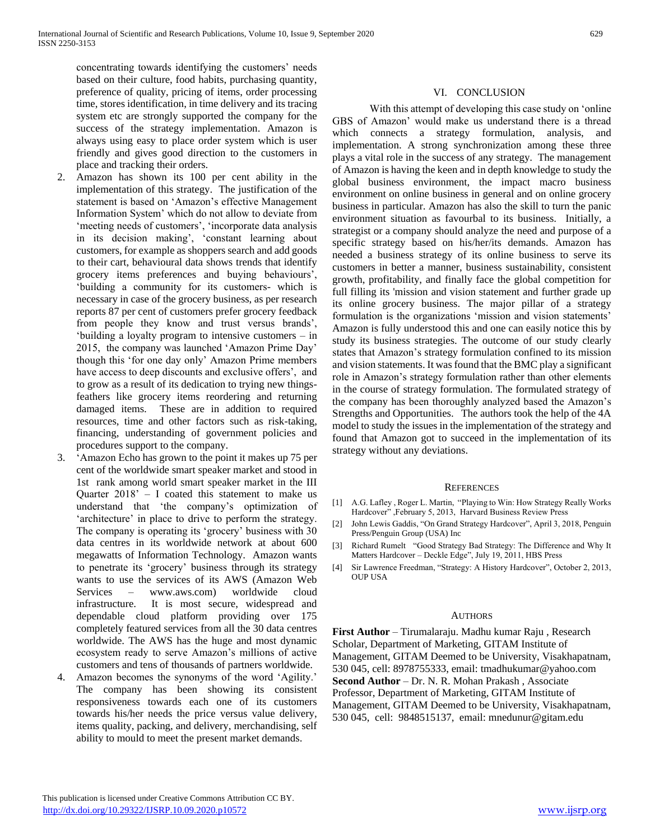- 2. Amazon has shown its 100 per cent ability in the implementation of this strategy. The justification of the statement is based on 'Amazon's effective Management Information System' which do not allow to deviate from 'meeting needs of customers', 'incorporate data analysis in its decision making', 'constant learning about customers, for example as shoppers search and add goods to their cart, behavioural data shows trends that identify grocery items preferences and buying behaviours', 'building a community for its customers- which is necessary in case of the grocery business, as per research reports 87 per cent of customers prefer grocery feedback from people they know and trust versus brands', 'building a loyalty program to intensive customers – in 2015, the company was launched 'Amazon Prime Day' though this 'for one day only' Amazon Prime members have access to deep discounts and exclusive offers', and to grow as a result of its dedication to trying new thingsfeathers like grocery items reordering and returning damaged items. These are in addition to required resources, time and other factors such as risk-taking, financing, understanding of government policies and procedures support to the company.
- 3. 'Amazon Echo has grown to the point it makes up 75 per cent of the worldwide smart speaker market and stood in 1st rank among world smart speaker market in the III Quarter  $2018' - I$  coated this statement to make us understand that 'the company's optimization of 'architecture' in place to drive to perform the strategy. The company is operating its 'grocery' business with 30 data centres in its worldwide network at about 600 megawatts of Information Technology. Amazon wants to penetrate its 'grocery' business through its strategy wants to use the services of its AWS (Amazon Web Services – www.aws.com) worldwide cloud infrastructure. It is most secure, widespread and dependable cloud platform providing over 175 completely featured services from all the 30 data centres worldwide. The AWS has the huge and most dynamic ecosystem ready to serve Amazon's millions of active customers and tens of thousands of partners worldwide.
- 4. Amazon becomes the synonyms of the word 'Agility.' The company has been showing its consistent responsiveness towards each one of its customers towards his/her needs the price versus value delivery, items quality, packing, and delivery, merchandising, self ability to mould to meet the present market demands.

## VI. CONCLUSION

 With this attempt of developing this case study on 'online GBS of Amazon' would make us understand there is a thread which connects a strategy formulation, analysis, and implementation. A strong synchronization among these three plays a vital role in the success of any strategy. The management of Amazon is having the keen and in depth knowledge to study the global business environment, the impact macro business environment on online business in general and on online grocery business in particular. Amazon has also the skill to turn the panic environment situation as favourbal to its business. Initially, a strategist or a company should analyze the need and purpose of a specific strategy based on his/her/its demands. Amazon has needed a business strategy of its online business to serve its customers in better a manner, business sustainability, consistent growth, profitability, and finally face the global competition for full filling its 'mission and vision statement and further grade up its online grocery business. The major pillar of a strategy formulation is the organizations 'mission and vision statements' Amazon is fully understood this and one can easily notice this by study its business strategies. The outcome of our study clearly states that Amazon's strategy formulation confined to its mission and vision statements. It was found that the BMC play a significant role in Amazon's strategy formulation rather than other elements in the course of strategy formulation. The formulated strategy of the company has been thoroughly analyzed based the Amazon's Strengths and Opportunities. The authors took the help of the 4A model to study the issues in the implementation of the strategy and found that Amazon got to succeed in the implementation of its strategy without any deviations.

#### **REFERENCES**

- [1] A.G. Lafley , Roger L. Martin, "Playing to Win: How Strategy Really Works Hardcover" ,February 5, 2013, Harvard Business Review Press
- [2] John Lewis Gaddis, "On Grand Strategy Hardcover", April 3, 2018, Penguin Press/Penguin Group (USA) Inc
- [3] Richard Rumelt "Good Strategy Bad Strategy: The Difference and Why It Matters Hardcover – Deckle Edge", July 19, 2011, HBS Press
- [4] Sir Lawrence Freedman, "Strategy: A History Hardcover", October 2, 2013, OUP USA

#### **AUTHORS**

**First Author** – Tirumalaraju. Madhu kumar Raju , Research Scholar, Department of Marketing, GITAM Institute of Management, GITAM Deemed to be University, Visakhapatnam, 530 045, cell: 8978755333, email: tmadhukumar@yahoo.com **Second Author** – Dr. N. R. Mohan Prakash , Associate Professor, Department of Marketing, GITAM Institute of Management, GITAM Deemed to be University, Visakhapatnam, 530 045, cell: 9848515137, email: mnedunur@gitam.edu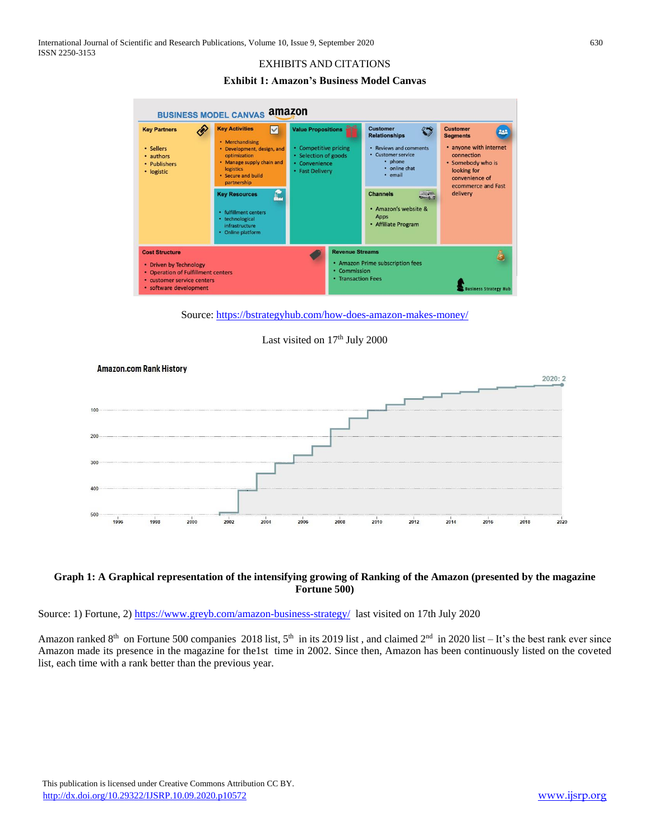# EXHIBITS AND CITATIONS

**Exhibit 1: Amazon's Business Model Canvas**



Source:<https://bstrategyhub.com/how-does-amazon-makes-money/>





## **Graph 1: A Graphical representation of the intensifying growing of Ranking of the Amazon (presented by the magazine Fortune 500)**

Source: 1) Fortune, 2)<https://www.greyb.com/amazon-business-strategy/>last visited on 17th July 2020

Amazon ranked  $8<sup>th</sup>$  on Fortune 500 companies 2018 list,  $5<sup>th</sup>$  in its 2019 list, and claimed  $2<sup>nd</sup>$  in 2020 list – It's the best rank ever since Amazon made its presence in the magazine for the1st time in 2002. Since then, Amazon has been continuously listed on the coveted list, each time with a rank better than the previous year.